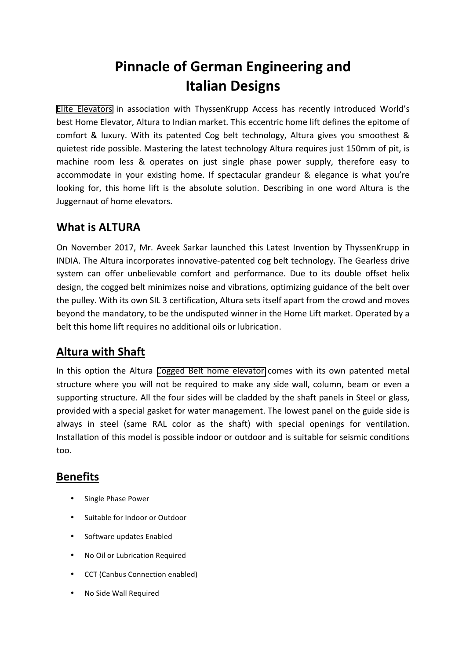# **Pinnacle of German Engineering and Italian Designs**

Elite Elevators in association with ThyssenKrupp Access has recently introduced World's best Home Elevator, Altura to Indian market. This eccentric home lift defines the epitome of comfort & luxury. With its patented Cog belt technology, Altura gives you smoothest & quietest ride possible. Mastering the latest technology Altura requires just 150mm of pit, is machine room less & operates on just single phase power supply, therefore easy to accommodate in your existing home. If spectacular grandeur & elegance is what you're looking for, this home lift is the absolute solution. Describing in one word Altura is the Juggernaut of home elevators.

## **What is ALTURA**

On November 2017, Mr. Aveek Sarkar launched this Latest Invention by ThyssenKrupp in INDIA. The Altura incorporates innovative-patented cog belt technology. The Gearless drive system can offer unbelievable comfort and performance. Due to its double offset helix design, the cogged belt minimizes noise and vibrations, optimizing guidance of the belt over the pulley. With its own SIL 3 certification, Altura sets itself apart from the crowd and moves beyond the mandatory, to be the undisputed winner in the Home Lift market. Operated by a belt this home lift requires no additional oils or lubrication.

## **Altura with Shaft**

In this option the Altura Cogged Belt home elevator comes with its own patented metal structure where you will not be required to make any side wall, column, beam or even a supporting structure. All the four sides will be cladded by the shaft panels in Steel or glass, provided with a special gasket for water management. The lowest panel on the guide side is always in steel (same RAL color as the shaft) with special openings for ventilation. Installation of this model is possible indoor or outdoor and is suitable for seismic conditions too.

#### **Benefits**

- Single Phase Power
- Suitable for Indoor or Outdoor
- Software updates Enabled
- No Oil or Lubrication Required
- CCT (Canbus Connection enabled)
- No Side Wall Required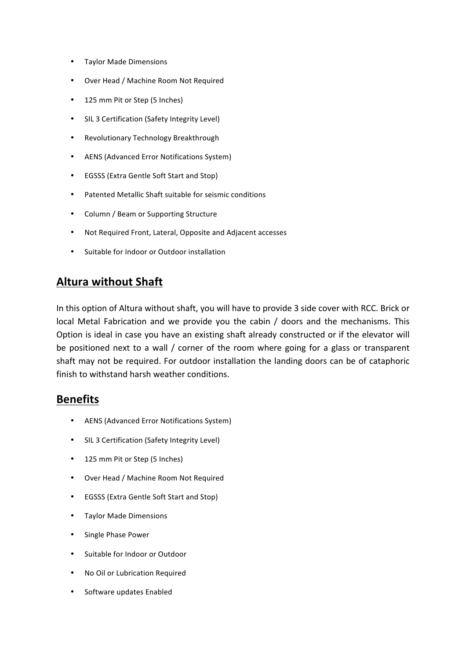- Taylor Made Dimensions
- Over Head / Machine Room Not Required
- 125 mm Pit or Step (5 Inches)
- SIL 3 Certification (Safety Integrity Level)
- Revolutionary Technology Breakthrough
- AENS (Advanced Error Notifications System)
- EGSSS (Extra Gentle Soft Start and Stop)
- Patented Metallic Shaft suitable for seismic conditions
- Column / Beam or Supporting Structure
- Not Required Front, Lateral, Opposite and Adjacent accesses
- Suitable for Indoor or Outdoor installation

#### **Altura without Shaft**

In this option of Altura without shaft, you will have to provide 3 side cover with RCC. Brick or local Metal Fabrication and we provide you the cabin / doors and the mechanisms. This Option is ideal in case you have an existing shaft already constructed or if the elevator will be positioned next to a wall / corner of the room where going for a glass or transparent shaft may not be required. For outdoor installation the landing doors can be of cataphoric finish to withstand harsh weather conditions.

#### **Benefits**

- AENS (Advanced Error Notifications System)
- SIL 3 Certification (Safety Integrity Level)
- 125 mm Pit or Step (5 Inches)
- Over Head / Machine Room Not Required
- EGSSS (Extra Gentle Soft Start and Stop)
- Taylor Made Dimensions
- Single Phase Power
- Suitable for Indoor or Outdoor
- No Oil or Lubrication Required
- Software updates Enabled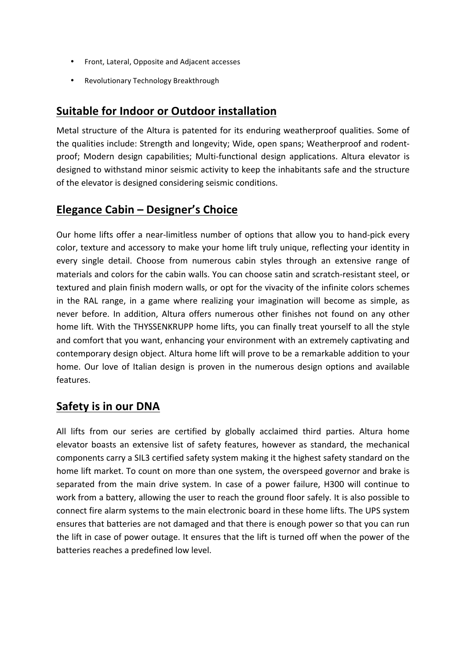- Front, Lateral, Opposite and Adjacent accesses
- Revolutionary Technology Breakthrough

#### **Suitable for Indoor or Outdoor installation**

Metal structure of the Altura is patented for its enduring weatherproof qualities. Some of the qualities include: Strength and longevity; Wide, open spans; Weatherproof and rodentproof; Modern design capabilities; Multi-functional design applications. Altura elevator is designed to withstand minor seismic activity to keep the inhabitants safe and the structure of the elevator is designed considering seismic conditions.

#### **Elegance Cabin – Designer's Choice**

Our home lifts offer a near-limitless number of options that allow you to hand-pick every color, texture and accessory to make your home lift truly unique, reflecting your identity in every single detail. Choose from numerous cabin styles through an extensive range of materials and colors for the cabin walls. You can choose satin and scratch-resistant steel, or textured and plain finish modern walls, or opt for the vivacity of the infinite colors schemes in the RAL range, in a game where realizing your imagination will become as simple, as never before. In addition, Altura offers numerous other finishes not found on any other home lift. With the THYSSENKRUPP home lifts, you can finally treat yourself to all the style and comfort that you want, enhancing your environment with an extremely captivating and contemporary design object. Altura home lift will prove to be a remarkable addition to your home. Our love of Italian design is proven in the numerous design options and available features.

#### **Safety is in our DNA**

All lifts from our series are certified by globally acclaimed third parties. Altura home elevator boasts an extensive list of safety features, however as standard, the mechanical components carry a SIL3 certified safety system making it the highest safety standard on the home lift market. To count on more than one system, the overspeed governor and brake is separated from the main drive system. In case of a power failure, H300 will continue to work from a battery, allowing the user to reach the ground floor safely. It is also possible to connect fire alarm systems to the main electronic board in these home lifts. The UPS system ensures that batteries are not damaged and that there is enough power so that you can run the lift in case of power outage. It ensures that the lift is turned off when the power of the batteries reaches a predefined low level.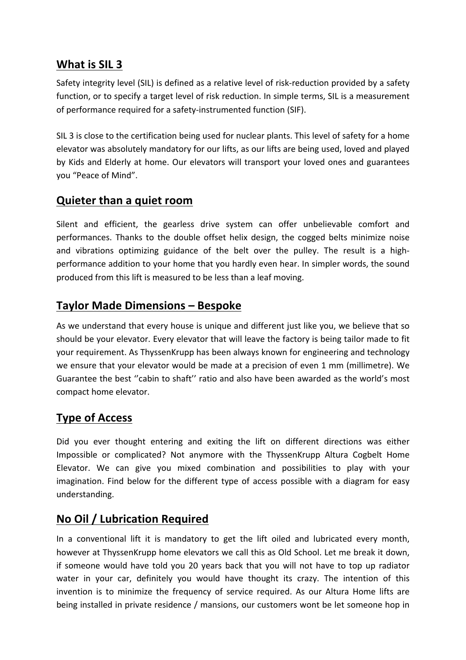### **What is SIL 3**

Safety integrity level (SIL) is defined as a relative level of risk-reduction provided by a safety function, or to specify a target level of risk reduction. In simple terms, SIL is a measurement of performance required for a safety-instrumented function (SIF).

SIL 3 is close to the certification being used for nuclear plants. This level of safety for a home elevator was absolutely mandatory for our lifts, as our lifts are being used, loved and played by Kids and Elderly at home. Our elevators will transport your loved ones and guarantees you "Peace of Mind".

## **Quieter than a quiet room**

Silent and efficient, the gearless drive system can offer unbelievable comfort and performances. Thanks to the double offset helix design, the cogged belts minimize noise and vibrations optimizing guidance of the belt over the pulley. The result is a highperformance addition to your home that you hardly even hear. In simpler words, the sound produced from this lift is measured to be less than a leaf moving.

## **Taylor Made Dimensions – Bespoke**

As we understand that every house is unique and different just like you, we believe that so should be vour elevator. Every elevator that will leave the factory is being tailor made to fit your requirement. As ThyssenKrupp has been always known for engineering and technology we ensure that your elevator would be made at a precision of even 1 mm (millimetre). We Guarantee the best "cabin to shaft" ratio and also have been awarded as the world's most compact home elevator.

#### **Type of Access**

Did you ever thought entering and exiting the lift on different directions was either Impossible or complicated? Not anymore with the ThyssenKrupp Altura Cogbelt Home Elevator. We can give you mixed combination and possibilities to play with your imagination. Find below for the different type of access possible with a diagram for easy understanding.

## **No Oil / Lubrication Required**

In a conventional lift it is mandatory to get the lift oiled and lubricated every month, however at ThyssenKrupp home elevators we call this as Old School. Let me break it down, if someone would have told you 20 years back that you will not have to top up radiator water in your car, definitely you would have thought its crazy. The intention of this invention is to minimize the frequency of service required. As our Altura Home lifts are being installed in private residence / mansions, our customers wont be let someone hop in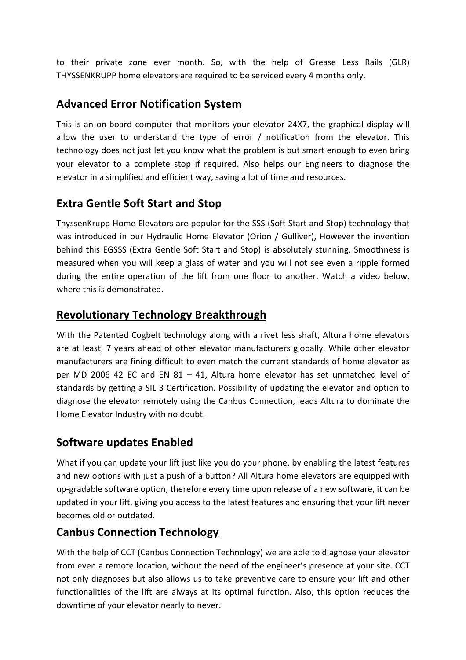to their private zone ever month. So, with the help of Grease Less Rails (GLR) THYSSENKRUPP home elevators are required to be serviced every 4 months only.

## **Advanced Error Notification System**

This is an on-board computer that monitors your elevator 24X7, the graphical display will allow the user to understand the type of error  $/$  notification from the elevator. This technology does not just let you know what the problem is but smart enough to even bring your elevator to a complete stop if required. Also helps our Engineers to diagnose the elevator in a simplified and efficient way, saving a lot of time and resources.

## **Extra Gentle Soft Start and Stop**

ThyssenKrupp Home Elevators are popular for the SSS (Soft Start and Stop) technology that was introduced in our Hydraulic Home Elevator (Orion / Gulliver), However the invention behind this EGSSS (Extra Gentle Soft Start and Stop) is absolutely stunning, Smoothness is measured when you will keep a glass of water and you will not see even a ripple formed during the entire operation of the lift from one floor to another. Watch a video below, where this is demonstrated.

## **Revolutionary Technology Breakthrough**

With the Patented Cogbelt technology along with a rivet less shaft, Altura home elevators are at least, 7 years ahead of other elevator manufacturers globally. While other elevator manufacturers are fining difficult to even match the current standards of home elevator as per MD 2006 42 EC and EN  $81 - 41$ , Altura home elevator has set unmatched level of standards by getting a SIL 3 Certification. Possibility of updating the elevator and option to diagnose the elevator remotely using the Canbus Connection, leads Altura to dominate the Home Elevator Industry with no doubt.

#### **Software updates Enabled**

What if you can update your lift just like you do your phone, by enabling the latest features and new options with just a push of a button? All Altura home elevators are equipped with up-gradable software option, therefore every time upon release of a new software, it can be updated in your lift, giving you access to the latest features and ensuring that your lift never becomes old or outdated.

## **Canbus Connection Technology**

With the help of CCT (Canbus Connection Technology) we are able to diagnose your elevator from even a remote location, without the need of the engineer's presence at your site. CCT not only diagnoses but also allows us to take preventive care to ensure your lift and other functionalities of the lift are always at its optimal function. Also, this option reduces the downtime of your elevator nearly to never.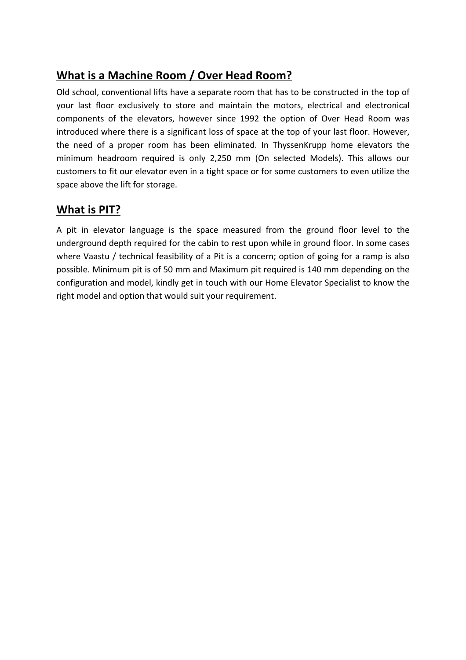# **What is a Machine Room / Over Head Room?**

Old school, conventional lifts have a separate room that has to be constructed in the top of your last floor exclusively to store and maintain the motors, electrical and electronical components of the elevators, however since 1992 the option of Over Head Room was introduced where there is a significant loss of space at the top of your last floor. However, the need of a proper room has been eliminated. In ThyssenKrupp home elevators the minimum headroom required is only 2,250 mm (On selected Models). This allows our customers to fit our elevator even in a tight space or for some customers to even utilize the space above the lift for storage.

## **What is PIT?**

A pit in elevator language is the space measured from the ground floor level to the underground depth required for the cabin to rest upon while in ground floor. In some cases where Vaastu / technical feasibility of a Pit is a concern; option of going for a ramp is also possible. Minimum pit is of 50 mm and Maximum pit required is 140 mm depending on the configuration and model, kindly get in touch with our Home Elevator Specialist to know the right model and option that would suit your requirement.